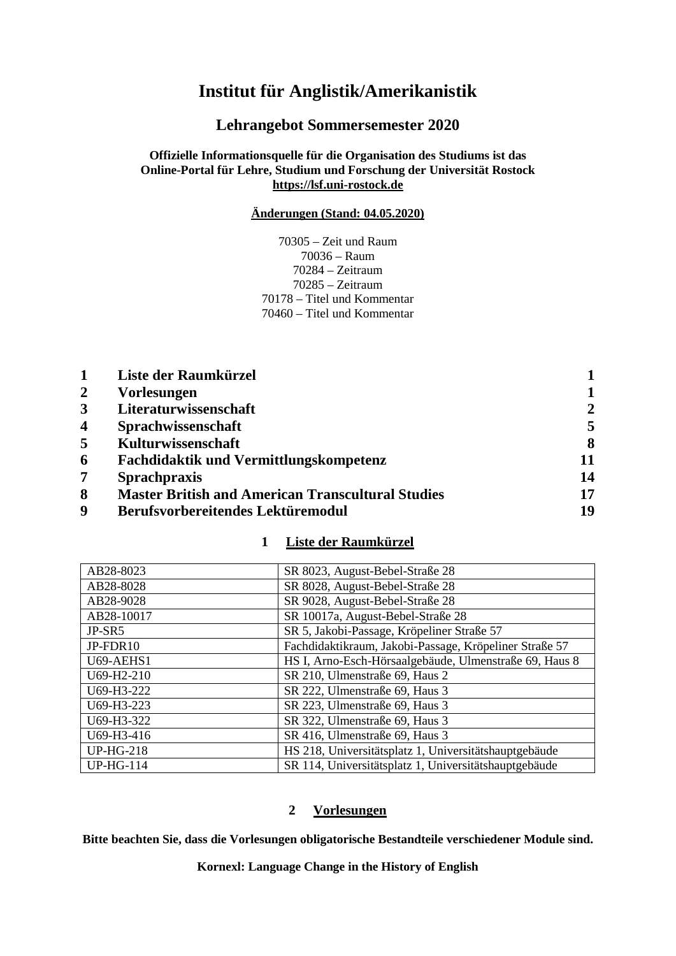# **Institut für Anglistik/Amerikanistik**

**Lehrangebot Sommersemester 2020**

## **Offizielle Informationsquelle für die Organisation des Studiums ist das Online-Portal für Lehre, Studium und Forschung der Universität Rostock [https://lsf.uni-rostock.de](https://lsf.uni-rostock.de/)**

## **Änderungen (Stand: 04.05.2020)**

70305 – Zeit und Raum 70036 – Raum 70284 – Zeitraum 70285 – Zeitraum 70178 – Titel und Kommentar 70460 – Titel und Kommentar

|                  | Liste der Raumkürzel                                     |                |
|------------------|----------------------------------------------------------|----------------|
| $\overline{2}$   | <b>Vorlesungen</b>                                       |                |
| $\overline{3}$   | Literaturwissenschaft                                    | $\overline{2}$ |
| $\boldsymbol{4}$ | Sprachwissenschaft                                       | 5              |
| 5                | Kulturwissenschaft                                       | 8              |
| 6                | Fachdidaktik und Vermittlungskompetenz                   | 11             |
| 7                | <b>Sprachpraxis</b>                                      | 14             |
| 8                | <b>Master British and American Transcultural Studies</b> | 17             |
| 9                | <b>Berufsvorbereitendes Lektüremodul</b>                 | 19             |

## **1 Liste der Raumkürzel**

<span id="page-0-0"></span>

| AB28-8023        | SR 8023, August-Bebel-Straße 28                        |
|------------------|--------------------------------------------------------|
| AB28-8028        | SR 8028, August-Bebel-Straße 28                        |
| AB28-9028        | SR 9028, August-Bebel-Straße 28                        |
| AB28-10017       | SR 10017a, August-Bebel-Straße 28                      |
| JP-SR5           | SR 5, Jakobi-Passage, Kröpeliner Straße 57             |
| JP-FDR10         | Fachdidaktikraum, Jakobi-Passage, Kröpeliner Straße 57 |
| U69-AEHS1        | HS I, Arno-Esch-Hörsaalgebäude, Ulmenstraße 69, Haus 8 |
| U69-H2-210       | SR 210, Ulmenstraße 69, Haus 2                         |
| U69-H3-222       | SR 222, Ulmenstraße 69, Haus 3                         |
| U69-H3-223       | SR 223, Ulmenstraße 69, Haus 3                         |
| U69-H3-322       | SR 322, Ulmenstraße 69, Haus 3                         |
| U69-H3-416       | SR 416, Ulmenstraße 69, Haus 3                         |
| <b>UP-HG-218</b> | HS 218, Universitätsplatz 1, Universitätshauptgebäude  |
| <b>UP-HG-114</b> | SR 114, Universitätsplatz 1, Universitätshauptgebäude  |

## **2 Vorlesungen**

<span id="page-0-1"></span>**Bitte beachten Sie, dass die Vorlesungen obligatorische Bestandteile verschiedener Module sind.**

**Kornexl: Language Change in the History of English**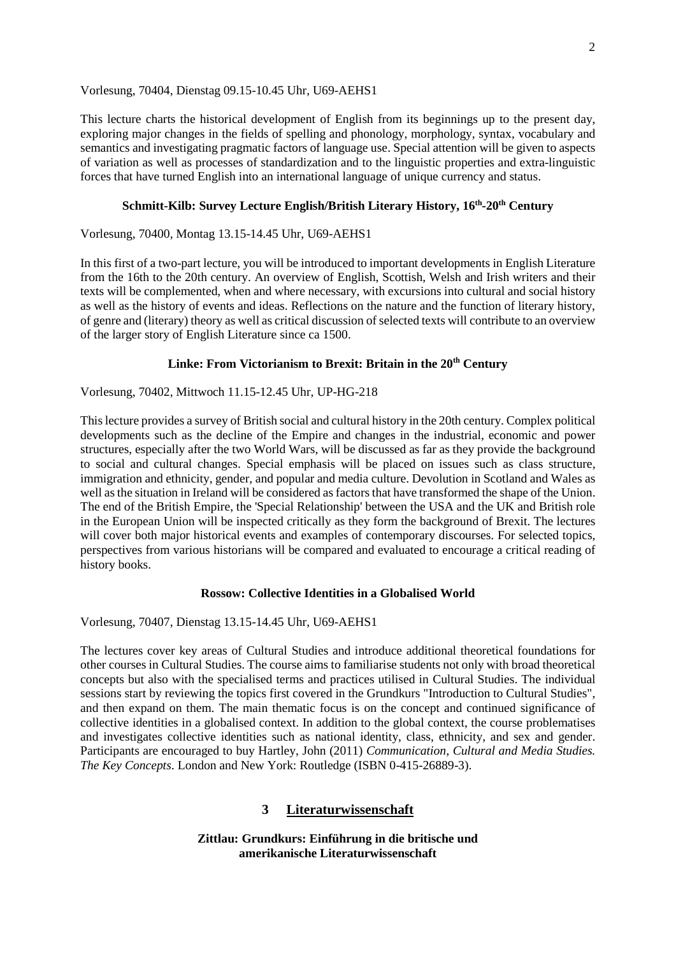### Vorlesung, 70404, Dienstag 09.15-10.45 Uhr, U69-AEHS1

This lecture charts the historical development of English from its beginnings up to the present day, exploring major changes in the fields of spelling and phonology, morphology, syntax, vocabulary and semantics and investigating pragmatic factors of language use. Special attention will be given to aspects of variation as well as processes of standardization and to the linguistic properties and extra-linguistic forces that have turned English into an international language of unique currency and status.

## **Schmitt-Kilb: Survey Lecture English/British Literary History, 16th-20th Century**

Vorlesung, 70400, Montag 13.15-14.45 Uhr, U69-AEHS1

In this first of a two-part lecture, you will be introduced to important developments in English Literature from the 16th to the 20th century. An overview of English, Scottish, Welsh and Irish writers and their texts will be complemented, when and where necessary, with excursions into cultural and social history as well as the history of events and ideas. Reflections on the nature and the function of literary history, of genre and (literary) theory as well as critical discussion of selected texts will contribute to an overview of the larger story of English Literature since ca 1500.

### **Linke: From Victorianism to Brexit: Britain in the 20th Century**

Vorlesung, 70402, Mittwoch 11.15-12.45 Uhr, UP-HG-218

This lecture provides a survey of British social and cultural history in the 20th century. Complex political developments such as the decline of the Empire and changes in the industrial, economic and power structures, especially after the two World Wars, will be discussed as far as they provide the background to social and cultural changes. Special emphasis will be placed on issues such as class structure, immigration and ethnicity, gender, and popular and media culture. Devolution in Scotland and Wales as well as the situation in Ireland will be considered as factors that have transformed the shape of the Union. The end of the British Empire, the 'Special Relationship' between the USA and the UK and British role in the European Union will be inspected critically as they form the background of Brexit. The lectures will cover both major historical events and examples of contemporary discourses. For selected topics, perspectives from various historians will be compared and evaluated to encourage a critical reading of history books.

### **Rossow: Collective Identities in a Globalised World**

Vorlesung, 70407, Dienstag 13.15-14.45 Uhr, U69-AEHS1

The lectures cover key areas of Cultural Studies and introduce additional theoretical foundations for other courses in Cultural Studies. The course aims to familiarise students not only with broad theoretical concepts but also with the specialised terms and practices utilised in Cultural Studies. The individual sessions start by reviewing the topics first covered in the Grundkurs "Introduction to Cultural Studies", and then expand on them. The main thematic focus is on the concept and continued significance of collective identities in a globalised context. In addition to the global context, the course problematises and investigates collective identities such as national identity, class, ethnicity, and sex and gender. Participants are encouraged to buy Hartley, John (2011) *Communication, Cultural and Media Studies. The Key Concepts*. London and New York: Routledge (ISBN 0-415-26889-3).

### **3 Literaturwissenschaft**

<span id="page-1-0"></span>**Zittlau: Grundkurs: Einführung in die britische und amerikanische Literaturwissenschaft**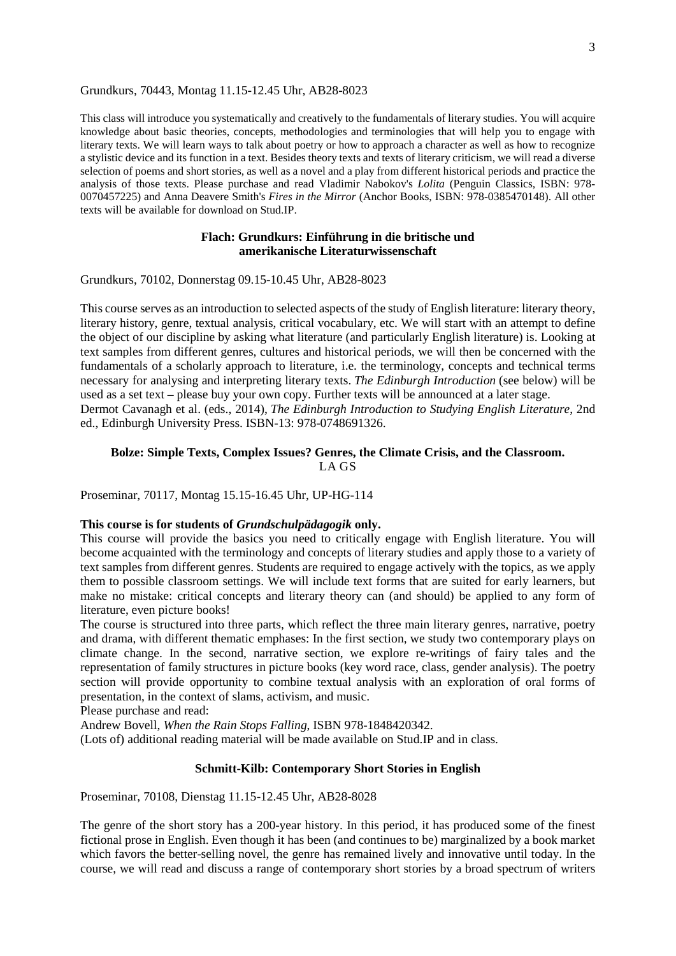#### Grundkurs, 70443, Montag 11.15-12.45 Uhr, AB28-8023

This class will introduce you systematically and creatively to the fundamentals of literary studies. You will acquire knowledge about basic theories, concepts, methodologies and terminologies that will help you to engage with literary texts. We will learn ways to talk about poetry or how to approach a character as well as how to recognize a stylistic device and its function in a text. Besides theory texts and texts of literary criticism, we will read a diverse selection of poems and short stories, as well as a novel and a play from different historical periods and practice the analysis of those texts. Please purchase and read Vladimir Nabokov's *Lolita* (Penguin Classics, ISBN: 978- 0070457225) and Anna Deavere Smith's *Fires in the Mirror* (Anchor Books, ISBN: 978-0385470148). All other texts will be available for download on Stud.IP.

### **Flach: Grundkurs: Einführung in die britische und amerikanische Literaturwissenschaft**

Grundkurs, 70102, Donnerstag 09.15-10.45 Uhr, AB28-8023

This course serves as an introduction to selected aspects of the study of English literature: literary theory, literary history, genre, textual analysis, critical vocabulary, etc. We will start with an attempt to define the object of our discipline by asking what literature (and particularly English literature) is. Looking at text samples from different genres, cultures and historical periods, we will then be concerned with the fundamentals of a scholarly approach to literature, i.e. the terminology, concepts and technical terms necessary for analysing and interpreting literary texts. *The Edinburgh Introduction* (see below) will be used as a set text – please buy your own copy. Further texts will be announced at a later stage. Dermot Cavanagh et al. (eds., 2014), *The Edinburgh Introduction to Studying English Literature*, 2nd ed., Edinburgh University Press. ISBN-13: 978-0748691326.

### **Bolze: Simple Texts, Complex Issues? Genres, the Climate Crisis, and the Classroom.** LA GS

Proseminar, 70117, Montag 15.15-16.45 Uhr, UP-HG-114

### **This course is for students of** *Grundschulpädagogik* **only.**

This course will provide the basics you need to critically engage with English literature. You will become acquainted with the terminology and concepts of literary studies and apply those to a variety of text samples from different genres. Students are required to engage actively with the topics, as we apply them to possible classroom settings. We will include text forms that are suited for early learners, but make no mistake: critical concepts and literary theory can (and should) be applied to any form of literature, even picture books!

The course is structured into three parts, which reflect the three main literary genres, narrative, poetry and drama, with different thematic emphases: In the first section, we study two contemporary plays on climate change. In the second, narrative section, we explore re-writings of fairy tales and the representation of family structures in picture books (key word race, class, gender analysis). The poetry section will provide opportunity to combine textual analysis with an exploration of oral forms of presentation, in the context of slams, activism, and music.

Please purchase and read:

Andrew Bovell, *When the Rain Stops Falling*, ISBN 978-1848420342.

(Lots of) additional reading material will be made available on Stud.IP and in class.

### **Schmitt-Kilb: Contemporary Short Stories in English**

Proseminar, 70108, Dienstag 11.15-12.45 Uhr, AB28-8028

The genre of the short story has a 200-year history. In this period, it has produced some of the finest fictional prose in English. Even though it has been (and continues to be) marginalized by a book market which favors the better-selling novel, the genre has remained lively and innovative until today. In the course, we will read and discuss a range of contemporary short stories by a broad spectrum of writers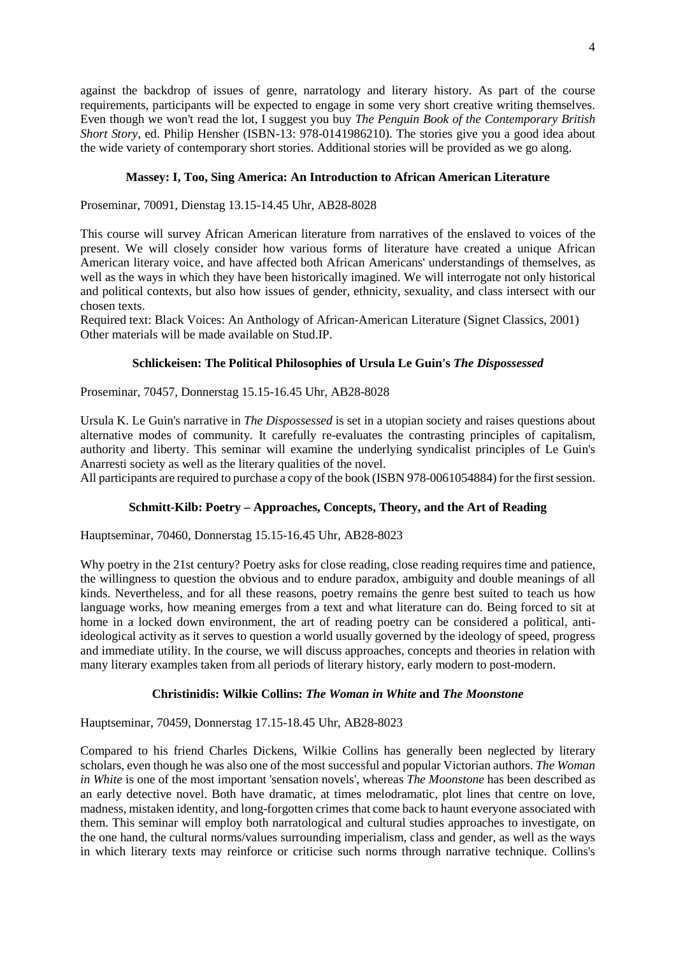against the backdrop of issues of genre, narratology and literary history. As part of the course requirements, participants will be expected to engage in some very short creative writing themselves. Even though we won't read the lot, I suggest you buy *The Penguin Book of the Contemporary British Short Story*, ed. Philip Hensher (ISBN-13: 978-0141986210). The stories give you a good idea about the wide variety of contemporary short stories. Additional stories will be provided as we go along.

### **Massey: I, Too, Sing America: An Introduction to African American Literature**

Proseminar, 70091, Dienstag 13.15-14.45 Uhr, AB28-8028

This course will survey African American literature from narratives of the enslaved to voices of the present. We will closely consider how various forms of literature have created a unique African American literary voice, and have affected both African Americans' understandings of themselves, as well as the ways in which they have been historically imagined. We will interrogate not only historical and political contexts, but also how issues of gender, ethnicity, sexuality, and class intersect with our chosen texts.

Required text: Black Voices: An Anthology of African-American Literature (Signet Classics, 2001) Other materials will be made available on Stud.IP.

### **Schlickeisen: The Political Philosophies of Ursula Le Guin's** *The Dispossessed*

Proseminar, 70457, Donnerstag 15.15-16.45 Uhr, AB28-8028

Ursula K. Le Guin's narrative in *The Dispossessed* is set in a utopian society and raises questions about alternative modes of community. It carefully re-evaluates the contrasting principles of capitalism, authority and liberty. This seminar will examine the underlying syndicalist principles of Le Guin's Anarresti society as well as the literary qualities of the novel.

All participants are required to purchase a copy of the book (ISBN 978-0061054884) for the first session.

## **Schmitt-Kilb: Poetry – Approaches, Concepts, Theory, and the Art of Reading**

Hauptseminar, 70460, Donnerstag 15.15-16.45 Uhr, AB28-8023

Why poetry in the 21st century? Poetry asks for close reading, close reading requires time and patience, the willingness to question the obvious and to endure paradox, ambiguity and double meanings of all kinds. Nevertheless, and for all these reasons, poetry remains the genre best suited to teach us how language works, how meaning emerges from a text and what literature can do. Being forced to sit at home in a locked down environment, the art of reading poetry can be considered a political, antiideological activity as it serves to question a world usually governed by the ideology of speed, progress and immediate utility. In the course, we will discuss approaches, concepts and theories in relation with many literary examples taken from all periods of literary history, early modern to post-modern.

### **Christinidis: Wilkie Collins:** *The Woman in White* **and** *The Moonstone*

Hauptseminar, 70459, Donnerstag 17.15-18.45 Uhr, AB28-8023

Compared to his friend Charles Dickens, Wilkie Collins has generally been neglected by literary scholars, even though he was also one of the most successful and popular Victorian authors. *The Woman in White* is one of the most important 'sensation novels', whereas *The Moonstone* has been described as an early detective novel. Both have dramatic, at times melodramatic, plot lines that centre on love, madness, mistaken identity, and long-forgotten crimes that come back to haunt everyone associated with them. This seminar will employ both narratological and cultural studies approaches to investigate, on the one hand, the cultural norms/values surrounding imperialism, class and gender, as well as the ways in which literary texts may reinforce or criticise such norms through narrative technique. Collins's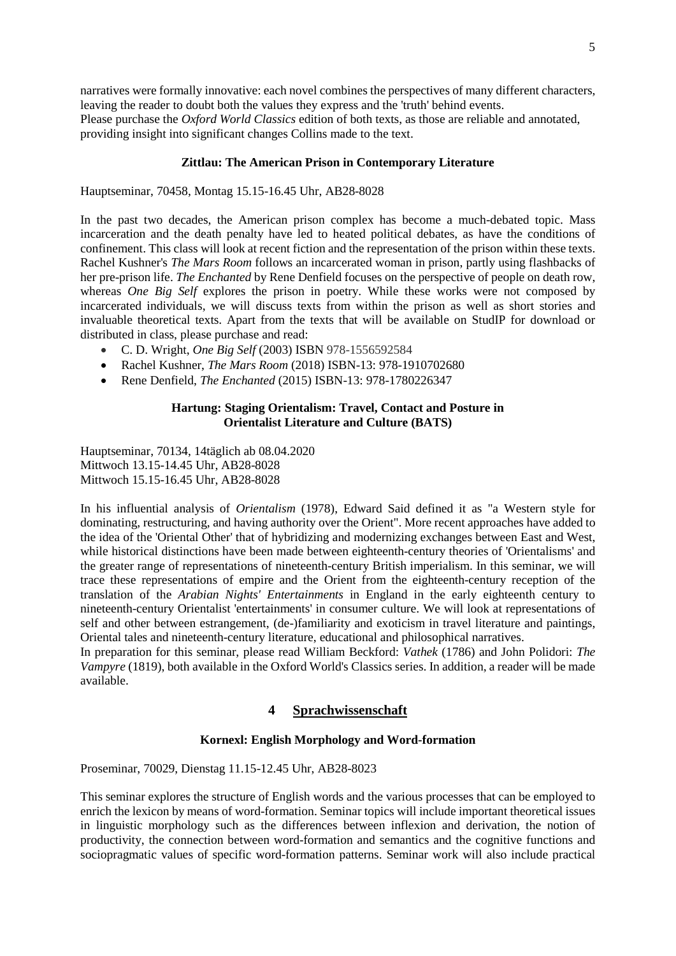narratives were formally innovative: each novel combines the perspectives of many different characters, leaving the reader to doubt both the values they express and the 'truth' behind events. Please purchase the *Oxford World Classics* edition of both texts, as those are reliable and annotated, providing insight into significant changes Collins made to the text.

### **Zittlau: The American Prison in Contemporary Literature**

Hauptseminar, 70458, Montag 15.15-16.45 Uhr, AB28-8028

In the past two decades, the American prison complex has become a much-debated topic. Mass incarceration and the death penalty have led to heated political debates, as have the conditions of confinement. This class will look at recent fiction and the representation of the prison within these texts. Rachel Kushner's *The Mars Room* follows an incarcerated woman in prison, partly using flashbacks of her pre-prison life. *The Enchanted* by Rene Denfield focuses on the perspective of people on death row, whereas *One Big Self* explores the prison in poetry. While these works were not composed by incarcerated individuals, we will discuss texts from within the prison as well as short stories and invaluable theoretical texts. Apart from the texts that will be available on StudIP for download or distributed in class, please purchase and read:

- C. D. Wright, *One Big Self* (2003) ISBN 978-1556592584
- Rachel Kushner, *The Mars Room* (2018) ISBN-13: 978-1910702680
- Rene Denfield, *The Enchanted* (2015) ISBN-13: 978-1780226347

### **Hartung: Staging Orientalism: Travel, Contact and Posture in Orientalist Literature and Culture (BATS)**

Hauptseminar, 70134, 14täglich ab 08.04.2020 Mittwoch 13.15-14.45 Uhr, AB28-8028 Mittwoch 15.15-16.45 Uhr, AB28-8028

In his influential analysis of *Orientalism* (1978), Edward Said defined it as "a Western style for dominating, restructuring, and having authority over the Orient". More recent approaches have added to the idea of the 'Oriental Other' that of hybridizing and modernizing exchanges between East and West, while historical distinctions have been made between eighteenth-century theories of 'Orientalisms' and the greater range of representations of nineteenth-century British imperialism. In this seminar, we will trace these representations of empire and the Orient from the eighteenth-century reception of the translation of the *Arabian Nights' Entertainments* in England in the early eighteenth century to nineteenth-century Orientalist 'entertainments' in consumer culture. We will look at representations of self and other between estrangement, (de-)familiarity and exoticism in travel literature and paintings, Oriental tales and nineteenth-century literature, educational and philosophical narratives.

<span id="page-4-0"></span>In preparation for this seminar, please read William Beckford: *Vathek* (1786) and John Polidori: *The Vampyre* (1819), both available in the Oxford World's Classics series. In addition, a reader will be made available.

### **4 Sprachwissenschaft**

## **Kornexl: English Morphology and Word-formation**

Proseminar, 70029, Dienstag 11.15-12.45 Uhr, AB28-8023

This seminar explores the structure of English words and the various processes that can be employed to enrich the lexicon by means of word-formation. Seminar topics will include important theoretical issues in linguistic morphology such as the differences between inflexion and derivation, the notion of productivity, the connection between word-formation and semantics and the cognitive functions and sociopragmatic values of specific word-formation patterns. Seminar work will also include practical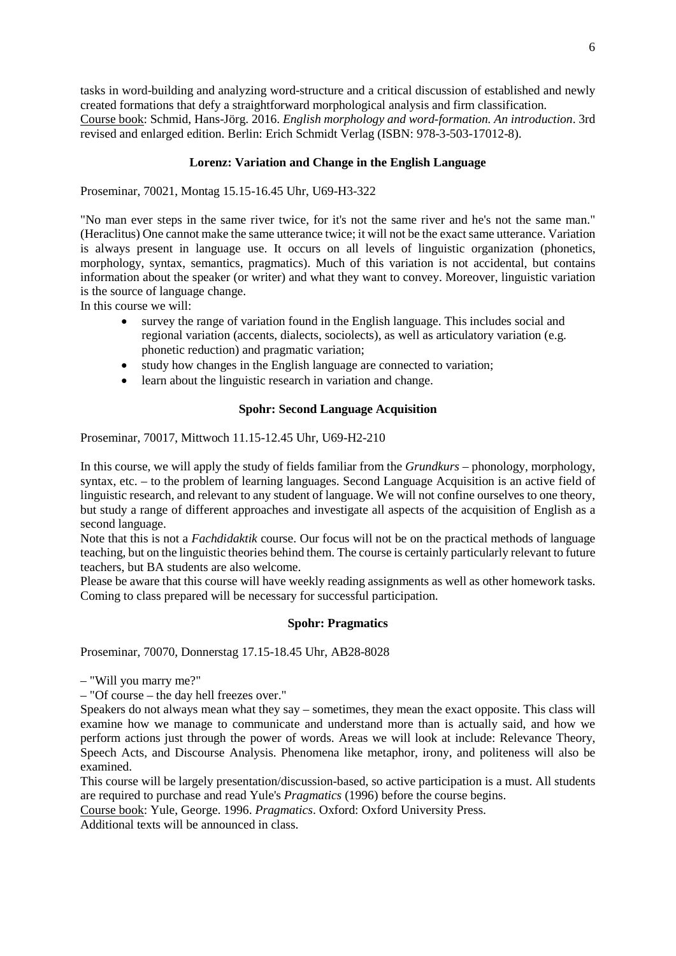tasks in word-building and analyzing word-structure and a critical discussion of established and newly created formations that defy a straightforward morphological analysis and firm classification. Course book: Schmid, Hans-Jörg. 2016. *English morphology and word-formation. An introduction*. 3rd revised and enlarged edition. Berlin: Erich Schmidt Verlag (ISBN: 978-3-503-17012-8).

## **Lorenz: Variation and Change in the English Language**

Proseminar, 70021, Montag 15.15-16.45 Uhr, U69-H3-322

"No man ever steps in the same river twice, for it's not the same river and he's not the same man." (Heraclitus) One cannot make the same utterance twice; it will not be the exact same utterance. Variation is always present in language use. It occurs on all levels of linguistic organization (phonetics, morphology, syntax, semantics, pragmatics). Much of this variation is not accidental, but contains information about the speaker (or writer) and what they want to convey. Moreover, linguistic variation is the source of language change.

In this course we will:

- survey the range of variation found in the English language. This includes social and regional variation (accents, dialects, sociolects), as well as articulatory variation (e.g. phonetic reduction) and pragmatic variation;
- study how changes in the English language are connected to variation;
- learn about the linguistic research in variation and change.

### **Spohr: Second Language Acquisition**

Proseminar, 70017, Mittwoch 11.15-12.45 Uhr, U69-H2-210

In this course, we will apply the study of fields familiar from the *Grundkurs* – phonology, morphology, syntax, etc. – to the problem of learning languages. Second Language Acquisition is an active field of linguistic research, and relevant to any student of language. We will not confine ourselves to one theory, but study a range of different approaches and investigate all aspects of the acquisition of English as a second language.

Note that this is not a *Fachdidaktik* course. Our focus will not be on the practical methods of language teaching, but on the linguistic theories behind them. The course is certainly particularly relevant to future teachers, but BA students are also welcome.

Please be aware that this course will have weekly reading assignments as well as other homework tasks. Coming to class prepared will be necessary for successful participation.

## **Spohr: Pragmatics**

Proseminar, 70070, Donnerstag 17.15-18.45 Uhr, AB28-8028

– "Will you marry me?"

– "Of course – the day hell freezes over."

Speakers do not always mean what they say – sometimes, they mean the exact opposite. This class will examine how we manage to communicate and understand more than is actually said, and how we perform actions just through the power of words. Areas we will look at include: Relevance Theory, Speech Acts, and Discourse Analysis. Phenomena like metaphor, irony, and politeness will also be examined.

This course will be largely presentation/discussion-based, so active participation is a must. All students are required to purchase and read Yule's *Pragmatics* (1996) before the course begins.

Course book: Yule, George. 1996. *Pragmatics*. Oxford: Oxford University Press.

Additional texts will be announced in class.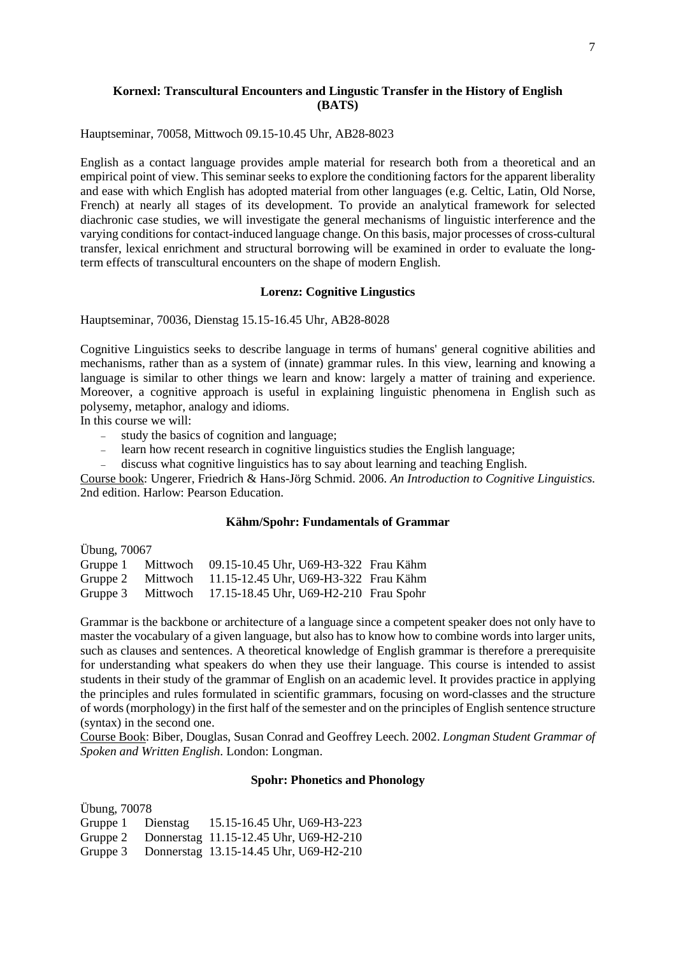### **Kornexl: Transcultural Encounters and Lingustic Transfer in the History of English (BATS)**

Hauptseminar, 70058, Mittwoch 09.15-10.45 Uhr, AB28-8023

English as a contact language provides ample material for research both from a theoretical and an empirical point of view. This seminar seeks to explore the conditioning factors for the apparent liberality and ease with which English has adopted material from other languages (e.g. Celtic, Latin, Old Norse, French) at nearly all stages of its development. To provide an analytical framework for selected diachronic case studies, we will investigate the general mechanisms of linguistic interference and the varying conditions for contact-induced language change. On this basis, major processes of cross-cultural transfer, lexical enrichment and structural borrowing will be examined in order to evaluate the longterm effects of transcultural encounters on the shape of modern English.

### **Lorenz: Cognitive Lingustics**

Hauptseminar, 70036, Dienstag 15.15-16.45 Uhr, AB28-8028

Cognitive Linguistics seeks to describe language in terms of humans' general cognitive abilities and mechanisms, rather than as a system of (innate) grammar rules. In this view, learning and knowing a language is similar to other things we learn and know: largely a matter of training and experience. Moreover, a cognitive approach is useful in explaining linguistic phenomena in English such as polysemy, metaphor, analogy and idioms.

In this course we will:

- − study the basics of cognition and language;
- − learn how recent research in cognitive linguistics studies the English language;
- − discuss what cognitive linguistics has to say about learning and teaching English.

Course book: Ungerer, Friedrich & Hans-Jörg Schmid. 2006. *An Introduction to Cognitive Linguistics.*  2nd edition. Harlow: Pearson Education.

### **Kähm/Spohr: Fundamentals of Grammar**

Übung, 70067

| Gruppe 1 |          | Mittwoch 09.15-10.45 Uhr, U69-H3-322 Frau Kähm          |  |
|----------|----------|---------------------------------------------------------|--|
|          |          | Gruppe 2 Mittwoch 11.15-12.45 Uhr, U69-H3-322 Frau Kähm |  |
| Gruppe 3 | Mittwoch | 17.15-18.45 Uhr, U69-H2-210 Frau Spohr                  |  |

Grammar is the backbone or architecture of a language since a competent speaker does not only have to master the vocabulary of a given language, but also has to know how to combine words into larger units, such as clauses and sentences. A theoretical knowledge of English grammar is therefore a prerequisite for understanding what speakers do when they use their language. This course is intended to assist students in their study of the grammar of English on an academic level. It provides practice in applying the principles and rules formulated in scientific grammars, focusing on word-classes and the structure of words (morphology) in the first half of the semester and on the principles of English sentence structure (syntax) in the second one.

Course Book: Biber, Douglas, Susan Conrad and Geoffrey Leech. 2002. *Longman Student Grammar of Spoken and Written English*. London: Longman.

### **Spohr: Phonetics and Phonology**

Übung, 70078

Gruppe 1 Dienstag 15.15-16.45 Uhr, U69-H3-223

Gruppe 2 Donnerstag 11.15-12.45 Uhr, U69-H2-210

Gruppe 3 Donnerstag 13.15-14.45 Uhr, U69-H2-210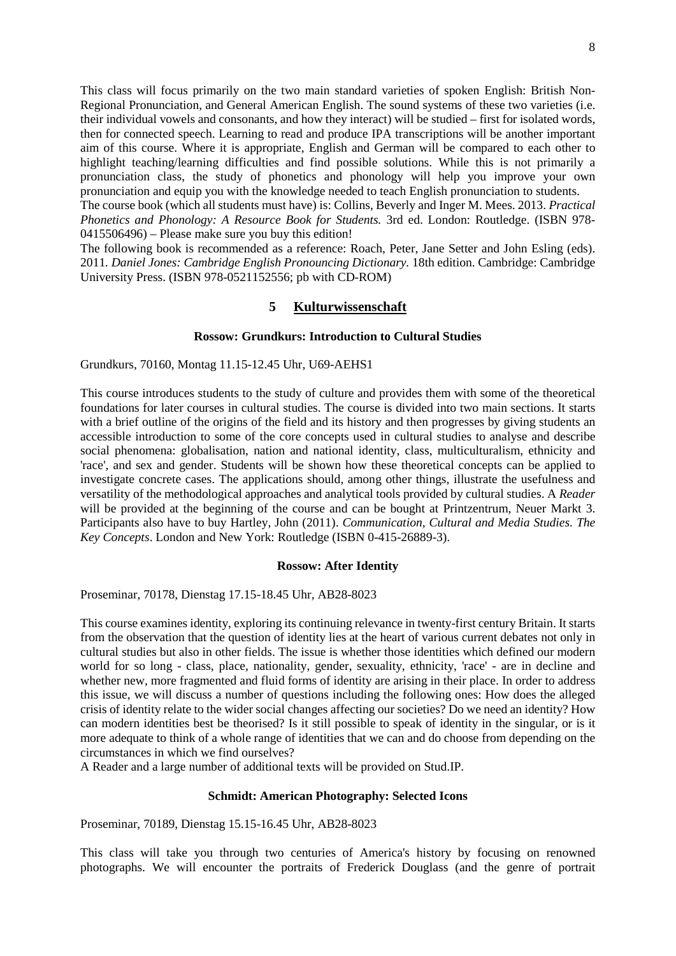This class will focus primarily on the two main standard varieties of spoken English: British Non-Regional Pronunciation, and General American English. The sound systems of these two varieties (i.e. their individual vowels and consonants, and how they interact) will be studied – first for isolated words, then for connected speech. Learning to read and produce IPA transcriptions will be another important aim of this course. Where it is appropriate, English and German will be compared to each other to highlight teaching/learning difficulties and find possible solutions. While this is not primarily a pronunciation class, the study of phonetics and phonology will help you improve your own pronunciation and equip you with the knowledge needed to teach English pronunciation to students.

The course book (which all students must have) is: Collins, Beverly and Inger M. Mees. 2013. *Practical Phonetics and Phonology: A Resource Book for Students.* 3rd ed. London: Routledge. (ISBN 978- 0415506496) – Please make sure you buy this edition!

<span id="page-7-0"></span>The following book is recommended as a reference: Roach, Peter, Jane Setter and John Esling (eds). 2011. Daniel Jones: Cambridge English Pronouncing Dictionary. 18th edition. Cambridge: Cambridge University Press. (ISBN 978-0521152556; pb with CD-ROM)

## **5 Kulturwissenschaft**

#### **Rossow: Grundkurs: Introduction to Cultural Studies**

Grundkurs, 70160, Montag 11.15-12.45 Uhr, U69-AEHS1

This course introduces students to the study of culture and provides them with some of the theoretical foundations for later courses in cultural studies. The course is divided into two main sections. It starts with a brief outline of the origins of the field and its history and then progresses by giving students an accessible introduction to some of the core concepts used in cultural studies to analyse and describe social phenomena: globalisation, nation and national identity, class, multiculturalism, ethnicity and 'race', and sex and gender. Students will be shown how these theoretical concepts can be applied to investigate concrete cases. The applications should, among other things, illustrate the usefulness and versatility of the methodological approaches and analytical tools provided by cultural studies. A *Reader*  will be provided at the beginning of the course and can be bought at Printzentrum, Neuer Markt 3. Participants also have to buy Hartley, John (2011). *Communication, Cultural and Media Studies. The Key Concepts*. London and New York: Routledge (ISBN 0-415-26889-3).

#### **Rossow: After Identity**

Proseminar, 70178, Dienstag 17.15-18.45 Uhr, AB28-8023

This course examines identity, exploring its continuing relevance in twenty-first century Britain. It starts from the observation that the question of identity lies at the heart of various current debates not only in cultural studies but also in other fields. The issue is whether those identities which defined our modern world for so long - class, place, nationality, gender, sexuality, ethnicity, 'race' - are in decline and whether new, more fragmented and fluid forms of identity are arising in their place. In order to address this issue, we will discuss a number of questions including the following ones: How does the alleged crisis of identity relate to the wider social changes affecting our societies? Do we need an identity? How can modern identities best be theorised? Is it still possible to speak of identity in the singular, or is it more adequate to think of a whole range of identities that we can and do choose from depending on the circumstances in which we find ourselves?

A Reader and a large number of additional texts will be provided on Stud.IP.

#### **Schmidt: American Photography: Selected Icons**

Proseminar, 70189, Dienstag 15.15-16.45 Uhr, AB28-8023

This class will take you through two centuries of America's history by focusing on renowned photographs. We will encounter the portraits of Frederick Douglass (and the genre of portrait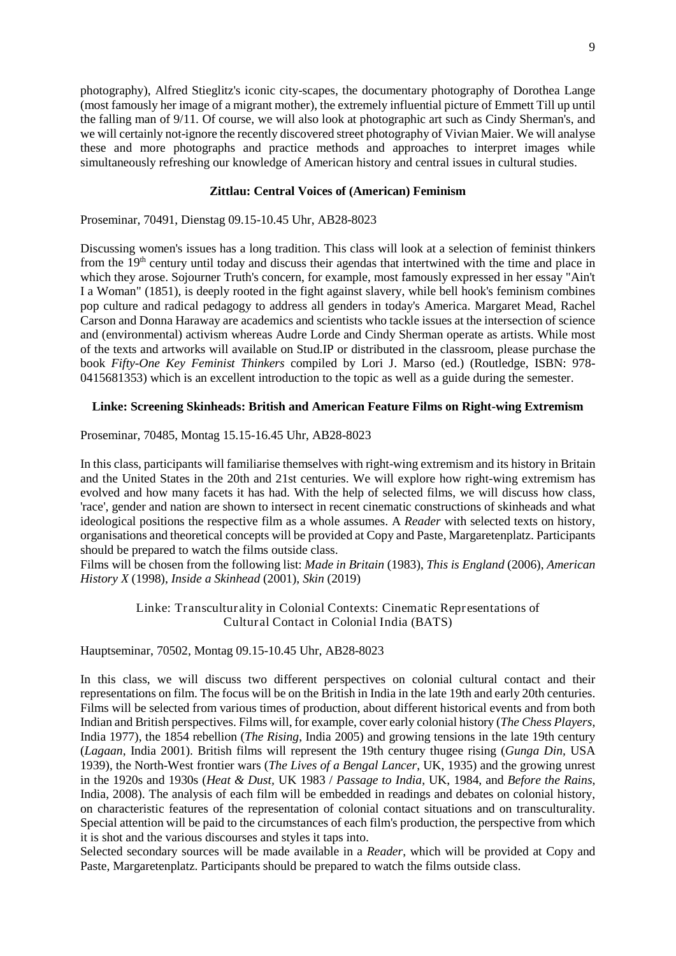photography), Alfred Stieglitz's iconic city-scapes, the documentary photography of Dorothea Lange (most famously her image of a migrant mother), the extremely influential picture of Emmett Till up until the falling man of 9/11. Of course, we will also look at photographic art such as Cindy Sherman's, and we will certainly not-ignore the recently discovered street photography of Vivian Maier. We will analyse these and more photographs and practice methods and approaches to interpret images while simultaneously refreshing our knowledge of American history and central issues in cultural studies.

### **Zittlau: Central Voices of (American) Feminism**

Proseminar, 70491, Dienstag 09.15-10.45 Uhr, AB28-8023

Discussing women's issues has a long tradition. This class will look at a selection of feminist thinkers from the 19<sup>th</sup> century until today and discuss their agendas that intertwined with the time and place in which they arose. Sojourner Truth's concern, for example, most famously expressed in her essay "Ain't I a Woman" (1851), is deeply rooted in the fight against slavery, while bell hook's feminism combines pop culture and radical pedagogy to address all genders in today's America. Margaret Mead, Rachel Carson and Donna Haraway are academics and scientists who tackle issues at the intersection of science and (environmental) activism whereas Audre Lorde and Cindy Sherman operate as artists. While most of the texts and artworks will available on Stud.IP or distributed in the classroom, please purchase the book *Fifty-One Key Feminist Thinkers* compiled by Lori J. Marso (ed.) (Routledge, ISBN: 978- 0415681353) which is an excellent introduction to the topic as well as a guide during the semester.

### **Linke: Screening Skinheads: British and American Feature Films on Right-wing Extremism**

Proseminar, 70485, Montag 15.15-16.45 Uhr, AB28-8023

In this class, participants will familiarise themselves with right-wing extremism and its history in Britain and the United States in the 20th and 21st centuries. We will explore how right-wing extremism has evolved and how many facets it has had. With the help of selected films, we will discuss how class, 'race', gender and nation are shown to intersect in recent cinematic constructions of skinheads and what ideological positions the respective film as a whole assumes. A *Reader* with selected texts on history, organisations and theoretical concepts will be provided at Copy and Paste, Margaretenplatz. Participants should be prepared to watch the films outside class.

Films will be chosen from the following list: *Made in Britain* (1983), *This is England* (2006), *American History X* (1998), *Inside a Skinhead* (2001), *Skin* (2019)

> Linke: Transculturality in Colonial Contexts: Cinematic Representations of Cultural Contact in Colonial India (BATS)

Hauptseminar, 70502, Montag 09.15-10.45 Uhr, AB28-8023

In this class, we will discuss two different perspectives on colonial cultural contact and their representations on film. The focus will be on the British in India in the late 19th and early 20th centuries. Films will be selected from various times of production, about different historical events and from both Indian and British perspectives. Films will, for example, cover early colonial history (*The Chess Players*, India 1977), the 1854 rebellion (*The Rising*, India 2005) and growing tensions in the late 19th century (*Lagaan*, India 2001). British films will represent the 19th century thugee rising (*Gunga Din,* USA 1939), the North-West frontier wars (*The Lives of a Bengal Lancer*, UK, 1935) and the growing unrest in the 1920s and 1930s (*Heat & Dust,* UK 1983 / *Passage to India*, UK, 1984, and *Before the Rains*, India, 2008). The analysis of each film will be embedded in readings and debates on colonial history, on characteristic features of the representation of colonial contact situations and on transculturality. Special attention will be paid to the circumstances of each film's production, the perspective from which it is shot and the various discourses and styles it taps into.

Selected secondary sources will be made available in a *Reader*, which will be provided at Copy and Paste, Margaretenplatz. Participants should be prepared to watch the films outside class.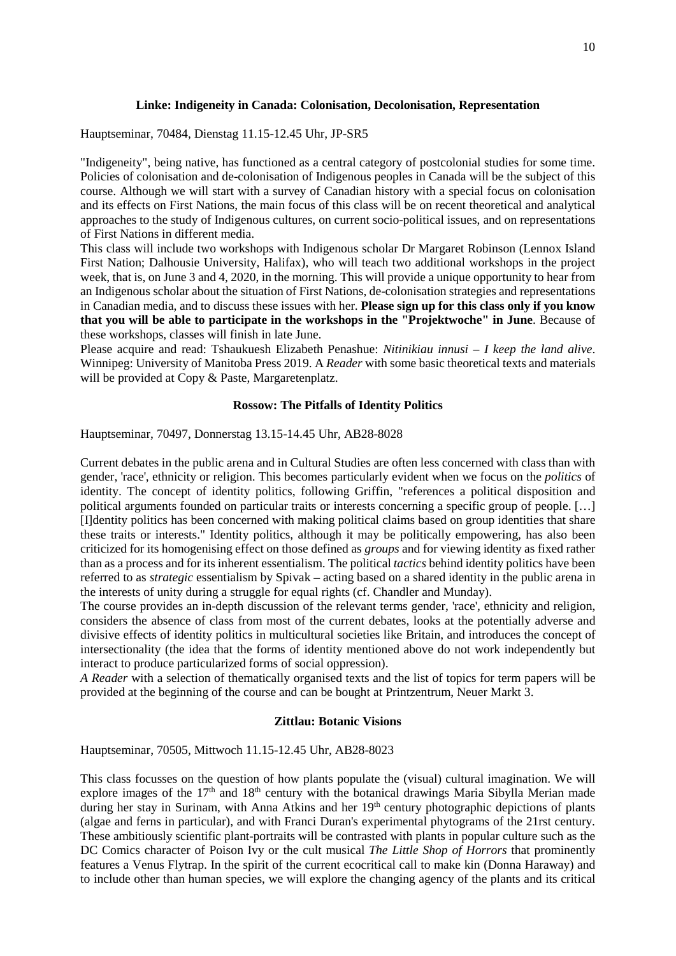### **Linke: Indigeneity in Canada: Colonisation, Decolonisation, Representation**

Hauptseminar, 70484, Dienstag 11.15-12.45 Uhr, JP-SR5

"Indigeneity", being native, has functioned as a central category of postcolonial studies for some time. Policies of colonisation and de-colonisation of Indigenous peoples in Canada will be the subject of this course. Although we will start with a survey of Canadian history with a special focus on colonisation and its effects on First Nations, the main focus of this class will be on recent theoretical and analytical approaches to the study of Indigenous cultures, on current socio-political issues, and on representations of First Nations in different media.

This class will include two workshops with Indigenous scholar Dr Margaret Robinson (Lennox Island First Nation; Dalhousie University, Halifax), who will teach two additional workshops in the project week, that is, on June 3 and 4, 2020, in the morning. This will provide a unique opportunity to hear from an Indigenous scholar about the situation of First Nations, de-colonisation strategies and representations in Canadian media, and to discuss these issues with her. **Please sign up for this class only if you know that you will be able to participate in the workshops in the "Projektwoche" in June**. Because of these workshops, classes will finish in late June.

Please acquire and read: Tshaukuesh Elizabeth Penashue: *Nitinikiau innusi – I keep the land alive*. Winnipeg: University of Manitoba Press 2019. A *Reader* with some basic theoretical texts and materials will be provided at Copy & Paste, Margaretenplatz.

### **Rossow: The Pitfalls of Identity Politics**

Hauptseminar, 70497, Donnerstag 13.15-14.45 Uhr, AB28-8028

Current debates in the public arena and in Cultural Studies are often less concerned with class than with gender, 'race', ethnicity or religion. This becomes particularly evident when we focus on the *politics* of identity. The concept of identity politics, following Griffin, "references a political disposition and political arguments founded on particular traits or interests concerning a specific group of people. […] [I]dentity politics has been concerned with making political claims based on group identities that share these traits or interests." Identity politics, although it may be politically empowering, has also been criticized for its homogenising effect on those defined as *groups* and for viewing identity as fixed rather than as a process and for its inherent essentialism. The political *tactics* behind identity politics have been referred to as *strategic* essentialism by Spivak – acting based on a shared identity in the public arena in the interests of unity during a struggle for equal rights (cf. Chandler and Munday).

The course provides an in-depth discussion of the relevant terms gender, 'race', ethnicity and religion, considers the absence of class from most of the current debates, looks at the potentially adverse and divisive effects of identity politics in multicultural societies like Britain, and introduces the concept of intersectionality (the idea that the forms of identity mentioned above do not work independently but interact to produce particularized forms of social oppression).

*A Reader* with a selection of thematically organised texts and the list of topics for term papers will be provided at the beginning of the course and can be bought at Printzentrum, Neuer Markt 3.

### **Zittlau: Botanic Visions**

Hauptseminar, 70505, Mittwoch 11.15-12.45 Uhr, AB28-8023

This class focusses on the question of how plants populate the (visual) cultural imagination. We will explore images of the  $17<sup>th</sup>$  and  $18<sup>th</sup>$  century with the botanical drawings Maria Sibylla Merian made during her stay in Surinam, with Anna Atkins and her 19<sup>th</sup> century photographic depictions of plants (algae and ferns in particular), and with Franci Duran's experimental phytograms of the 21rst century. These ambitiously scientific plant-portraits will be contrasted with plants in popular culture such as the DC Comics character of Poison Ivy or the cult musical *The Little Shop of Horrors* that prominently features a Venus Flytrap. In the spirit of the current ecocritical call to make kin (Donna Haraway) and to include other than human species, we will explore the changing agency of the plants and its critical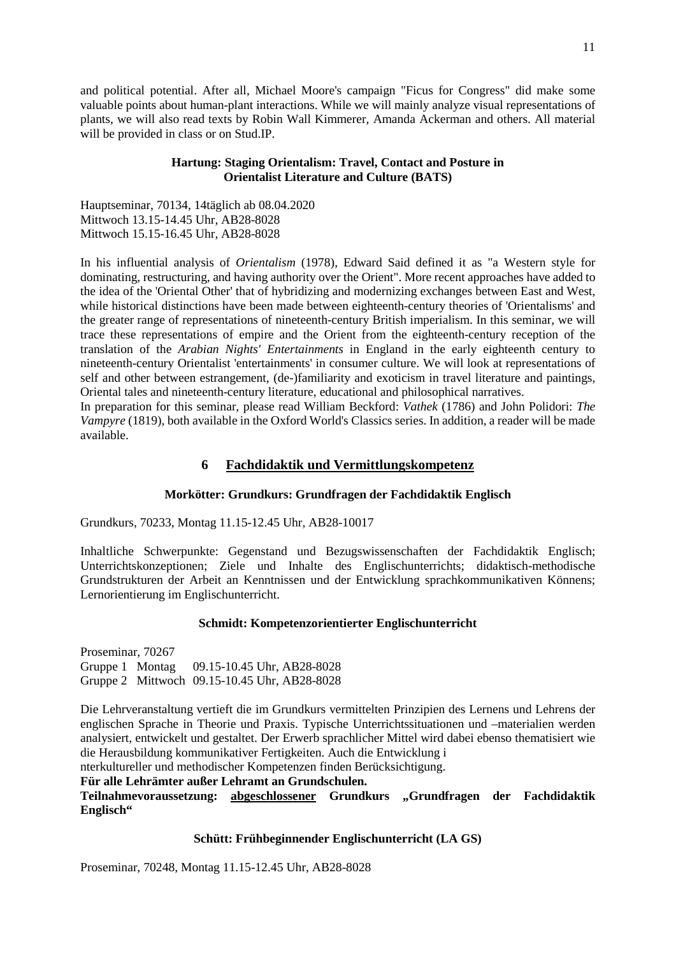and political potential. After all, Michael Moore's campaign "Ficus for Congress" did make some valuable points about human-plant interactions. While we will mainly analyze visual representations of plants, we will also read texts by Robin Wall Kimmerer, Amanda Ackerman and others. All material will be provided in class or on Stud.IP.

## **Hartung: Staging Orientalism: Travel, Contact and Posture in Orientalist Literature and Culture (BATS)**

Hauptseminar, 70134, 14täglich ab 08.04.2020 Mittwoch 13.15-14.45 Uhr, AB28-8028 Mittwoch 15.15-16.45 Uhr, AB28-8028

In his influential analysis of *Orientalism* (1978), Edward Said defined it as "a Western style for dominating, restructuring, and having authority over the Orient". More recent approaches have added to the idea of the 'Oriental Other' that of hybridizing and modernizing exchanges between East and West, while historical distinctions have been made between eighteenth-century theories of 'Orientalisms' and the greater range of representations of nineteenth-century British imperialism. In this seminar, we will trace these representations of empire and the Orient from the eighteenth-century reception of the translation of the *Arabian Nights' Entertainments* in England in the early eighteenth century to nineteenth-century Orientalist 'entertainments' in consumer culture. We will look at representations of self and other between estrangement, (de-)familiarity and exoticism in travel literature and paintings, Oriental tales and nineteenth-century literature, educational and philosophical narratives.

<span id="page-10-0"></span>In preparation for this seminar, please read William Beckford: *Vathek* (1786) and John Polidori: *The Vampyre* (1819), both available in the Oxford World's Classics series. In addition, a reader will be made available.

## **6 Fachdidaktik und Vermittlungskompetenz**

## **Morkötter: Grundkurs: Grundfragen der Fachdidaktik Englisch**

Grundkurs, 70233, Montag 11.15-12.45 Uhr, AB28-10017

Inhaltliche Schwerpunkte: Gegenstand und Bezugswissenschaften der Fachdidaktik Englisch; Unterrichtskonzeptionen; Ziele und Inhalte des Englischunterrichts; didaktisch-methodische Grundstrukturen der Arbeit an Kenntnissen und der Entwicklung sprachkommunikativen Könnens; Lernorientierung im Englischunterricht.

## **Schmidt: Kompetenzorientierter Englischunterricht**

Proseminar, 70267 Gruppe 1 Montag 09.15-10.45 Uhr, AB28-8028 Gruppe 2 Mittwoch 09.15-10.45 Uhr, AB28-8028

Die Lehrveranstaltung vertieft die im Grundkurs vermittelten Prinzipien des Lernens und Lehrens der englischen Sprache in Theorie und Praxis. Typische Unterrichtssituationen und –materialien werden analysiert, entwickelt und gestaltet. Der Erwerb sprachlicher Mittel wird dabei ebenso thematisiert wie die Herausbildung kommunikativer Fertigkeiten. Auch die Entwicklung i

nterkultureller und methodischer Kompetenzen finden Berücksichtigung.

**Für alle Lehrämter außer Lehramt an Grundschulen.** 

**Teilnahmevoraussetzung: abgeschlossener Grundkurs "Grundfragen der Fachdidaktik Englisch"** 

## **Schütt: Frühbeginnender Englischunterricht (LA GS)**

Proseminar, 70248, Montag 11.15-12.45 Uhr, AB28-8028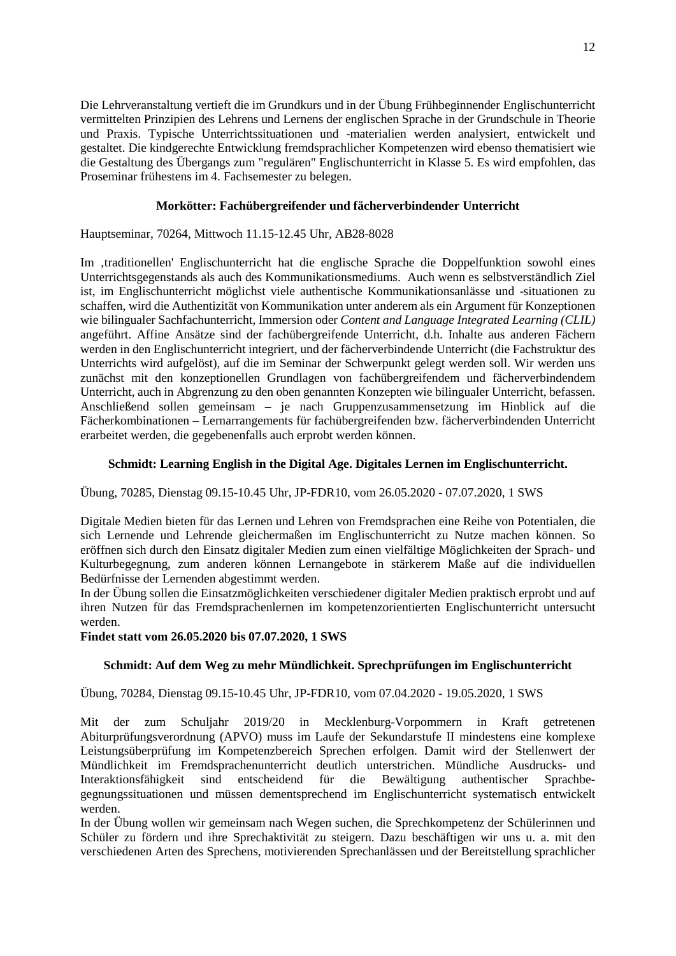Die Lehrveranstaltung vertieft die im Grundkurs und in der Übung Frühbeginnender Englischunterricht vermittelten Prinzipien des Lehrens und Lernens der englischen Sprache in der Grundschule in Theorie und Praxis. Typische Unterrichtssituationen und -materialien werden analysiert, entwickelt und gestaltet. Die kindgerechte Entwicklung fremdsprachlicher Kompetenzen wird ebenso thematisiert wie die Gestaltung des Übergangs zum "regulären" Englischunterricht in Klasse 5. Es wird empfohlen, das Proseminar frühestens im 4. Fachsemester zu belegen.

## **Morkötter: Fachübergreifender und fächerverbindender Unterricht**

Hauptseminar, 70264, Mittwoch 11.15-12.45 Uhr, AB28-8028

Im 'traditionellen' Englischunterricht hat die englische Sprache die Doppelfunktion sowohl eines Unterrichtsgegenstands als auch des Kommunikationsmediums. Auch wenn es selbstverständlich Ziel ist, im Englischunterricht möglichst viele authentische Kommunikationsanlässe und -situationen zu schaffen, wird die Authentizität von Kommunikation unter anderem als ein Argument für Konzeptionen wie bilingualer Sachfachunterricht, Immersion oder *Content and Language Integrated Learning (CLIL)* angeführt. Affine Ansätze sind der fachübergreifende Unterricht, d.h. Inhalte aus anderen Fächern werden in den Englischunterricht integriert, und der fächerverbindende Unterricht (die Fachstruktur des Unterrichts wird aufgelöst), auf die im Seminar der Schwerpunkt gelegt werden soll. Wir werden uns zunächst mit den konzeptionellen Grundlagen von fachübergreifendem und fächerverbindendem Unterricht, auch in Abgrenzung zu den oben genannten Konzepten wie bilingualer Unterricht, befassen. Anschließend sollen gemeinsam – je nach Gruppenzusammensetzung im Hinblick auf die Fächerkombinationen – Lernarrangements für fachübergreifenden bzw. fächerverbindenden Unterricht erarbeitet werden, die gegebenenfalls auch erprobt werden können.

## **Schmidt: Learning English in the Digital Age. Digitales Lernen im Englischunterricht.**

Übung, 70285, Dienstag 09.15-10.45 Uhr, JP-FDR10, vom 26.05.2020 - 07.07.2020, 1 SWS

Digitale Medien bieten für das Lernen und Lehren von Fremdsprachen eine Reihe von Potentialen, die sich Lernende und Lehrende gleichermaßen im Englischunterricht zu Nutze machen können. So eröffnen sich durch den Einsatz digitaler Medien zum einen vielfältige Möglichkeiten der Sprach- und Kulturbegegnung, zum anderen können Lernangebote in stärkerem Maße auf die individuellen Bedürfnisse der Lernenden abgestimmt werden.

In der Übung sollen die Einsatzmöglichkeiten verschiedener digitaler Medien praktisch erprobt und auf ihren Nutzen für das Fremdsprachenlernen im kompetenzorientierten Englischunterricht untersucht werden.

**Findet statt vom 26.05.2020 bis 07.07.2020, 1 SWS**

## **Schmidt: Auf dem Weg zu mehr Mündlichkeit. Sprechprüfungen im Englischunterricht**

Übung, 70284, Dienstag 09.15-10.45 Uhr, JP-FDR10, vom 07.04.2020 - 19.05.2020, 1 SWS

Mit der zum Schuljahr 2019/20 in Mecklenburg-Vorpommern in Kraft getretenen Abiturprüfungsverordnung (APVO) muss im Laufe der Sekundarstufe II mindestens eine komplexe Leistungsüberprüfung im Kompetenzbereich Sprechen erfolgen. Damit wird der Stellenwert der Mündlichkeit im Fremdsprachenunterricht deutlich unterstrichen. Mündliche Ausdrucks- und Interaktionsfähigkeit sind entscheidend für die Bewältigung authentischer Sprachbegegnungssituationen und müssen dementsprechend im Englischunterricht systematisch entwickelt werden.

In der Übung wollen wir gemeinsam nach Wegen suchen, die Sprechkompetenz der Schülerinnen und Schüler zu fördern und ihre Sprechaktivität zu steigern. Dazu beschäftigen wir uns u. a. mit den verschiedenen Arten des Sprechens, motivierenden Sprechanlässen und der Bereitstellung sprachlicher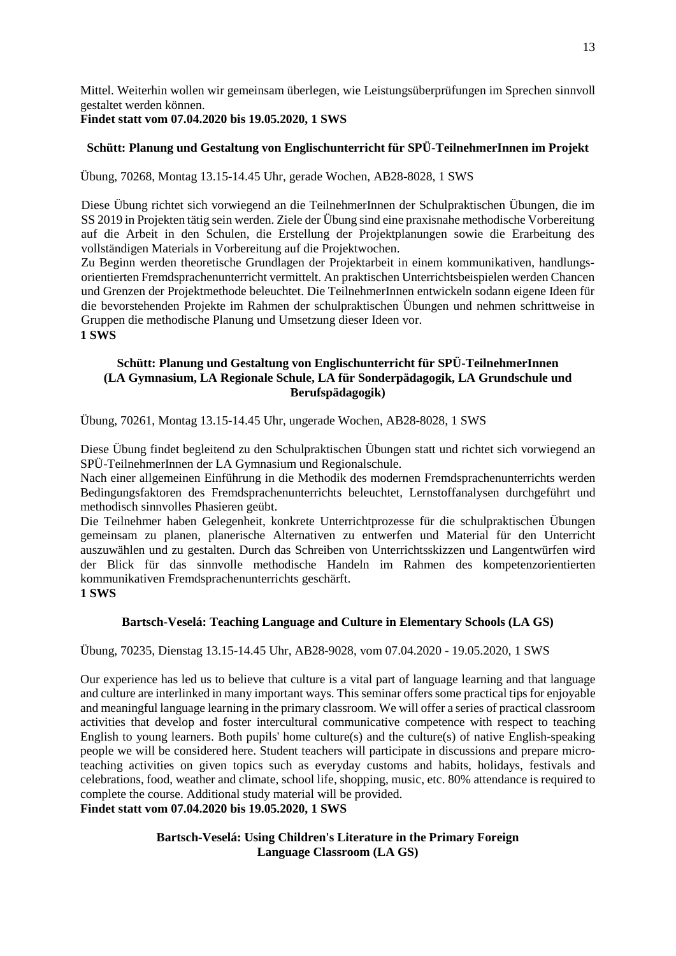Mittel. Weiterhin wollen wir gemeinsam überlegen, wie Leistungsüberprüfungen im Sprechen sinnvoll gestaltet werden können.

## **Findet statt vom 07.04.2020 bis 19.05.2020, 1 SWS**

## **Schütt: Planung und Gestaltung von Englischunterricht für SPÜ-TeilnehmerInnen im Projekt**

Übung, 70268, Montag 13.15-14.45 Uhr, gerade Wochen, AB28-8028, 1 SWS

Diese Übung richtet sich vorwiegend an die TeilnehmerInnen der Schulpraktischen Übungen, die im SS 2019 in Projekten tätig sein werden. Ziele der Übung sind eine praxisnahe methodische Vorbereitung auf die Arbeit in den Schulen, die Erstellung der Projektplanungen sowie die Erarbeitung des vollständigen Materials in Vorbereitung auf die Projektwochen.

Zu Beginn werden theoretische Grundlagen der Projektarbeit in einem kommunikativen, handlungsorientierten Fremdsprachenunterricht vermittelt. An praktischen Unterrichtsbeispielen werden Chancen und Grenzen der Projektmethode beleuchtet. Die TeilnehmerInnen entwickeln sodann eigene Ideen für die bevorstehenden Projekte im Rahmen der schulpraktischen Übungen und nehmen schrittweise in Gruppen die methodische Planung und Umsetzung dieser Ideen vor. **1 SWS**

## **Schütt: Planung und Gestaltung von Englischunterricht für SPÜ-TeilnehmerInnen (LA Gymnasium, LA Regionale Schule, LA für Sonderpädagogik, LA Grundschule und Berufspädagogik)**

Übung, 70261, Montag 13.15-14.45 Uhr, ungerade Wochen, AB28-8028, 1 SWS

Diese Übung findet begleitend zu den Schulpraktischen Übungen statt und richtet sich vorwiegend an SPÜ-TeilnehmerInnen der LA Gymnasium und Regionalschule.

Nach einer allgemeinen Einführung in die Methodik des modernen Fremdsprachenunterrichts werden Bedingungsfaktoren des Fremdsprachenunterrichts beleuchtet, Lernstoffanalysen durchgeführt und methodisch sinnvolles Phasieren geübt.

Die Teilnehmer haben Gelegenheit, konkrete Unterrichtprozesse für die schulpraktischen Übungen gemeinsam zu planen, planerische Alternativen zu entwerfen und Material für den Unterricht auszuwählen und zu gestalten. Durch das Schreiben von Unterrichtsskizzen und Langentwürfen wird der Blick für das sinnvolle methodische Handeln im Rahmen des kompetenzorientierten kommunikativen Fremdsprachenunterrichts geschärft. **1 SWS**

## **Bartsch-Veselá: Teaching Language and Culture in Elementary Schools (LA GS)**

Übung, 70235, Dienstag 13.15-14.45 Uhr, AB28-9028, vom 07.04.2020 - 19.05.2020, 1 SWS

Our experience has led us to believe that culture is a vital part of language learning and that language and culture are interlinked in many important ways. This seminar offers some practical tips for enjoyable and meaningful language learning in the primary classroom. We will offer a series of practical classroom activities that develop and foster intercultural communicative competence with respect to teaching English to young learners. Both pupils' home culture(s) and the culture(s) of native English-speaking people we will be considered here. Student teachers will participate in discussions and prepare microteaching activities on given topics such as everyday customs and habits, holidays, festivals and celebrations, food, weather and climate, school life, shopping, music, etc. 80% attendance is required to complete the course. Additional study material will be provided. **Findet statt vom 07.04.2020 bis 19.05.2020, 1 SWS**

> **Bartsch-Veselá: Using Children's Literature in the Primary Foreign Language Classroom (LA GS)**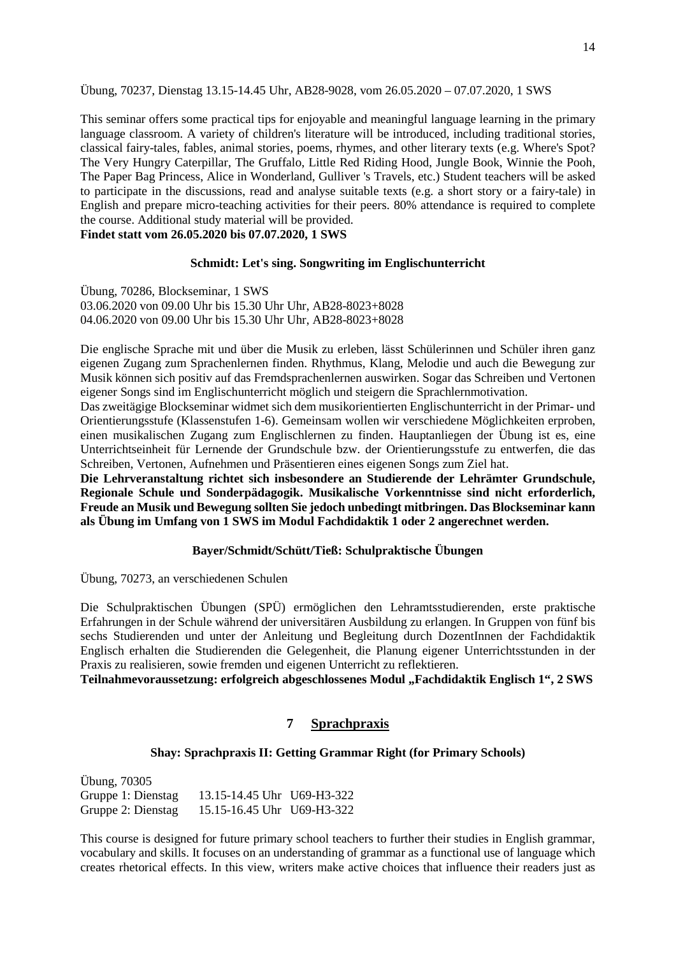Übung, 70237, Dienstag 13.15-14.45 Uhr, AB28-9028, vom 26.05.2020 – 07.07.2020, 1 SWS

This seminar offers some practical tips for enjoyable and meaningful language learning in the primary language classroom. A variety of children's literature will be introduced, including traditional stories, classical fairy-tales, fables, animal stories, poems, rhymes, and other literary texts (e.g. Where's Spot? The Very Hungry Caterpillar, The Gruffalo, Little Red Riding Hood, Jungle Book, Winnie the Pooh, The Paper Bag Princess, Alice in Wonderland, Gulliver 's Travels, etc.) Student teachers will be asked to participate in the discussions, read and analyse suitable texts (e.g. a short story or a fairy-tale) in English and prepare micro-teaching activities for their peers. 80% attendance is required to complete the course. Additional study material will be provided.

**Findet statt vom 26.05.2020 bis 07.07.2020, 1 SWS**

### **Schmidt: Let's sing. Songwriting im Englischunterricht**

Übung, 70286, Blockseminar, 1 SWS 03.06.2020 von 09.00 Uhr bis 15.30 Uhr Uhr, AB28-8023+8028 04.06.2020 von 09.00 Uhr bis 15.30 Uhr Uhr, AB28-8023+8028

Die englische Sprache mit und über die Musik zu erleben, lässt Schülerinnen und Schüler ihren ganz eigenen Zugang zum Sprachenlernen finden. Rhythmus, Klang, Melodie und auch die Bewegung zur Musik können sich positiv auf das Fremdsprachenlernen auswirken. Sogar das Schreiben und Vertonen eigener Songs sind im Englischunterricht möglich und steigern die Sprachlernmotivation.

Das zweitägige Blockseminar widmet sich dem musikorientierten Englischunterricht in der Primar- und Orientierungsstufe (Klassenstufen 1-6). Gemeinsam wollen wir verschiedene Möglichkeiten erproben, einen musikalischen Zugang zum Englischlernen zu finden. Hauptanliegen der Übung ist es, eine Unterrichtseinheit für Lernende der Grundschule bzw. der Orientierungsstufe zu entwerfen, die das Schreiben, Vertonen, Aufnehmen und Präsentieren eines eigenen Songs zum Ziel hat.

**Die Lehrveranstaltung richtet sich insbesondere an Studierende der Lehrämter Grundschule, Regionale Schule und Sonderpädagogik. Musikalische Vorkenntnisse sind nicht erforderlich, Freude an Musik und Bewegung sollten Sie jedoch unbedingt mitbringen. Das Blockseminar kann als Übung im Umfang von 1 SWS im Modul Fachdidaktik 1 oder 2 angerechnet werden.**

## **Bayer/Schmidt/Schütt/Tieß: Schulpraktische Übungen**

Übung, 70273, an verschiedenen Schulen

Die Schulpraktischen Übungen (SPÜ) ermöglichen den Lehramtsstudierenden, erste praktische Erfahrungen in der Schule während der universitären Ausbildung zu erlangen. In Gruppen von fünf bis sechs Studierenden und unter der Anleitung und Begleitung durch DozentInnen der Fachdidaktik Englisch erhalten die Studierenden die Gelegenheit, die Planung eigener Unterrichtsstunden in der Praxis zu realisieren, sowie fremden und eigenen Unterricht zu reflektieren.

<span id="page-13-0"></span>**Teilnahmevoraussetzung: erfolgreich abgeschlossenes Modul "Fachdidaktik Englisch 1", 2 SWS**

## **7 Sprachpraxis**

### **Shay: Sprachpraxis II: Getting Grammar Right (for Primary Schools)**

Übung, 70305 Gruppe 1: Dienstag 13.15-14.45 Uhr U69-H3-322 Gruppe 2: Dienstag 15.15-16.45 Uhr U69-H3-322

This course is designed for future primary school teachers to further their studies in English grammar, vocabulary and skills. It focuses on an understanding of grammar as a functional use of language which creates rhetorical effects. In this view, writers make active choices that influence their readers just as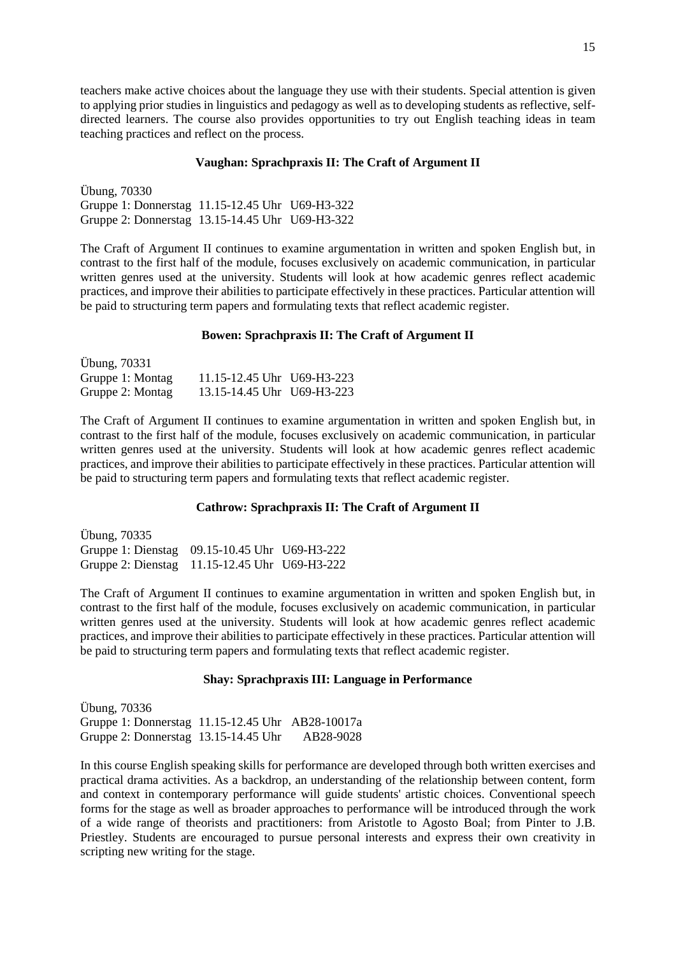teachers make active choices about the language they use with their students. Special attention is given to applying prior studies in linguistics and pedagogy as well as to developing students as reflective, selfdirected learners. The course also provides opportunities to try out English teaching ideas in team teaching practices and reflect on the process.

#### **Vaughan: Sprachpraxis II: The Craft of Argument II**

Übung, 70330 Gruppe 1: Donnerstag 11.15-12.45 Uhr U69-H3-322 Gruppe 2: Donnerstag 13.15-14.45 Uhr U69-H3-322

The Craft of Argument II continues to examine argumentation in written and spoken English but, in contrast to the first half of the module, focuses exclusively on academic communication, in particular written genres used at the university. Students will look at how academic genres reflect academic practices, and improve their abilities to participate effectively in these practices. Particular attention will be paid to structuring term papers and formulating texts that reflect academic register.

#### **Bowen: Sprachpraxis II: The Craft of Argument II**

| <b>Übung, 70331</b> |                            |  |
|---------------------|----------------------------|--|
| Gruppe 1: Montag    | 11.15-12.45 Uhr U69-H3-223 |  |
| Gruppe 2: Montag    | 13.15-14.45 Uhr U69-H3-223 |  |

The Craft of Argument II continues to examine argumentation in written and spoken English but, in contrast to the first half of the module, focuses exclusively on academic communication, in particular written genres used at the university. Students will look at how academic genres reflect academic practices, and improve their abilities to participate effectively in these practices. Particular attention will be paid to structuring term papers and formulating texts that reflect academic register.

### **Cathrow: Sprachpraxis II: The Craft of Argument II**

Übung, 70335 Gruppe 1: Dienstag 09.15-10.45 Uhr U69-H3-222 Gruppe 2: Dienstag 11.15-12.45 Uhr U69-H3-222

The Craft of Argument II continues to examine argumentation in written and spoken English but, in contrast to the first half of the module, focuses exclusively on academic communication, in particular written genres used at the university. Students will look at how academic genres reflect academic practices, and improve their abilities to participate effectively in these practices. Particular attention will be paid to structuring term papers and formulating texts that reflect academic register.

### **Shay: Sprachpraxis III: Language in Performance**

Übung, 70336 Gruppe 1: Donnerstag 11.15-12.45 Uhr AB28-10017a Gruppe 2: Donnerstag 13.15-14.45 Uhr AB28-9028

In this course English speaking skills for performance are developed through both written exercises and practical drama activities. As a backdrop, an understanding of the relationship between content, form and context in contemporary performance will guide students' artistic choices. Conventional speech forms for the stage as well as broader approaches to performance will be introduced through the work of a wide range of theorists and practitioners: from Aristotle to Agosto Boal; from Pinter to J.B. Priestley. Students are encouraged to pursue personal interests and express their own creativity in scripting new writing for the stage.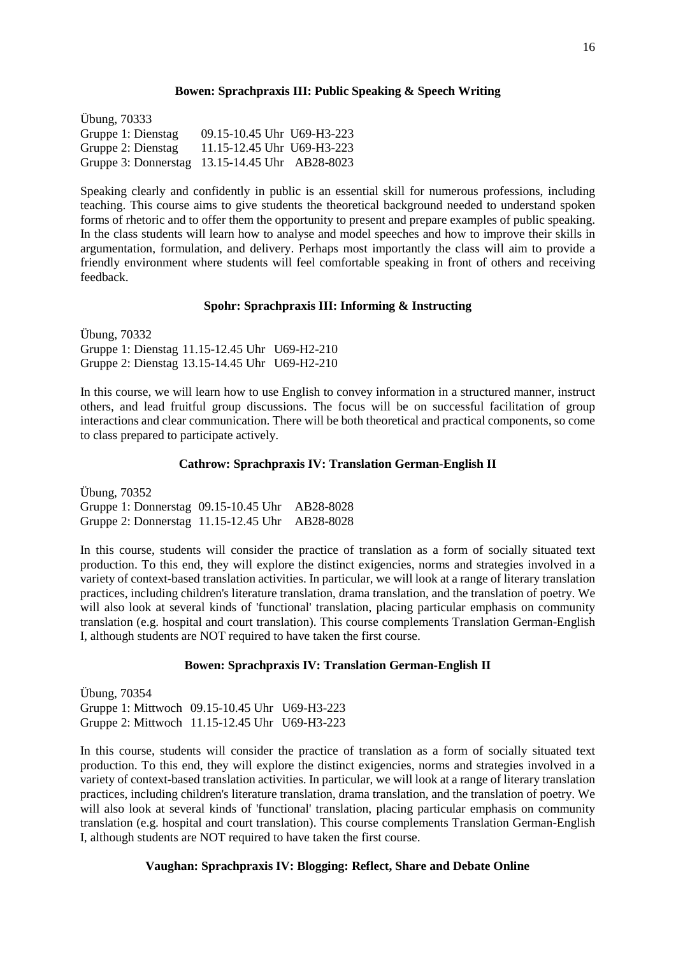### **Bowen: Sprachpraxis III: Public Speaking & Speech Writing**

Übung, 70333 Gruppe 1: Dienstag 09.15-10.45 Uhr U69-H3-223 Gruppe 2: Dienstag 11.15-12.45 Uhr U69-H3-223 Gruppe 3: Donnerstag 13.15-14.45 Uhr AB28-8023

Speaking clearly and confidently in public is an essential skill for numerous professions, including teaching. This course aims to give students the theoretical background needed to understand spoken forms of rhetoric and to offer them the opportunity to present and prepare examples of public speaking. In the class students will learn how to analyse and model speeches and how to improve their skills in argumentation, formulation, and delivery. Perhaps most importantly the class will aim to provide a friendly environment where students will feel comfortable speaking in front of others and receiving feedback.

## **Spohr: Sprachpraxis III: Informing & Instructing**

Übung, 70332 Gruppe 1: Dienstag 11.15-12.45 Uhr U69-H2-210 Gruppe 2: Dienstag 13.15-14.45 Uhr U69-H2-210

In this course, we will learn how to use English to convey information in a structured manner, instruct others, and lead fruitful group discussions. The focus will be on successful facilitation of group interactions and clear communication. There will be both theoretical and practical components, so come to class prepared to participate actively.

### **Cathrow: Sprachpraxis IV: Translation German-English II**

Übung, 70352 Gruppe 1: Donnerstag 09.15-10.45 Uhr AB28-8028 Gruppe 2: Donnerstag 11.15-12.45 Uhr AB28-8028

In this course, students will consider the practice of translation as a form of socially situated text production. To this end, they will explore the distinct exigencies, norms and strategies involved in a variety of context-based translation activities. In particular, we will look at a range of literary translation practices, including children's literature translation, drama translation, and the translation of poetry. We will also look at several kinds of 'functional' translation, placing particular emphasis on community translation (e.g. hospital and court translation). This course complements Translation German-English I, although students are NOT required to have taken the first course.

## **Bowen: Sprachpraxis IV: Translation German-English II**

Übung, 70354 Gruppe 1: Mittwoch 09.15-10.45 Uhr U69-H3-223 Gruppe 2: Mittwoch 11.15-12.45 Uhr U69-H3-223

In this course, students will consider the practice of translation as a form of socially situated text production. To this end, they will explore the distinct exigencies, norms and strategies involved in a variety of context-based translation activities. In particular, we will look at a range of literary translation practices, including children's literature translation, drama translation, and the translation of poetry. We will also look at several kinds of 'functional' translation, placing particular emphasis on community translation (e.g. hospital and court translation). This course complements Translation German-English I, although students are NOT required to have taken the first course.

## **Vaughan: Sprachpraxis IV: Blogging: Reflect, Share and Debate Online**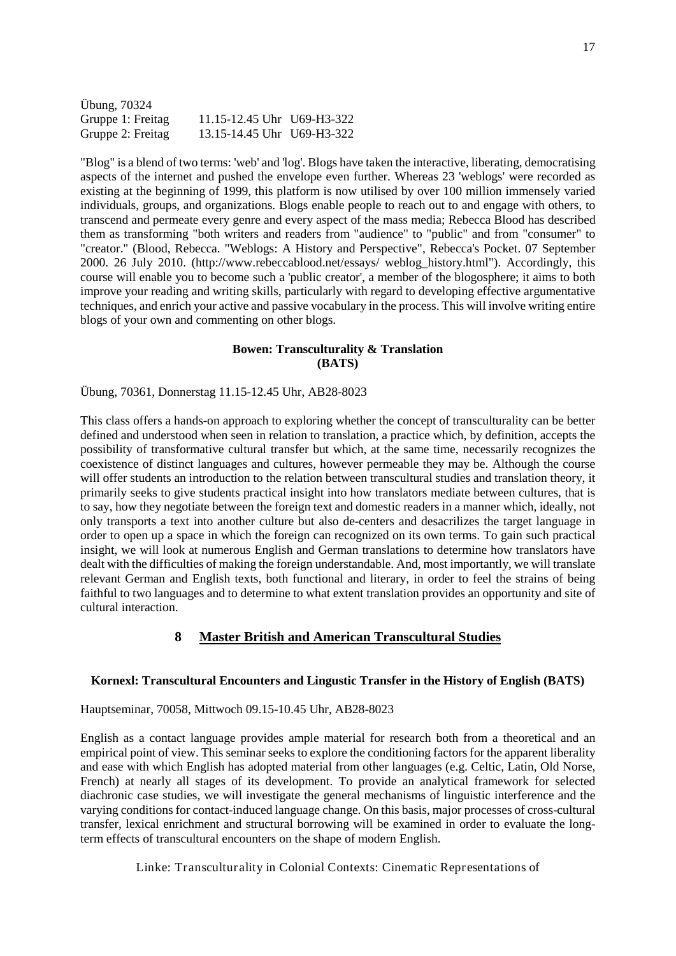| Übung, 70324      |                            |  |
|-------------------|----------------------------|--|
| Gruppe 1: Freitag | 11.15-12.45 Uhr U69-H3-322 |  |
| Gruppe 2: Freitag | 13.15-14.45 Uhr U69-H3-322 |  |

"Blog" is a blend of two terms: 'web' and 'log'. Blogs have taken the interactive, liberating, democratising aspects of the internet and pushed the envelope even further. Whereas 23 'weblogs' were recorded as existing at the beginning of 1999, this platform is now utilised by over 100 million immensely varied individuals, groups, and organizations. Blogs enable people to reach out to and engage with others, to transcend and permeate every genre and every aspect of the mass media; Rebecca Blood has described them as transforming "both writers and readers from "audience" to "public" and from "consumer" to "creator." (Blood, Rebecca. "Weblogs: A History and Perspective", Rebecca's Pocket. 07 September 2000. 26 July 2010. (http://www.rebeccablood.net/essays/ weblog\_history.html"). Accordingly, this course will enable you to become such a 'public creator', a member of the blogosphere; it aims to both improve your reading and writing skills, particularly with regard to developing effective argumentative techniques, and enrich your active and passive vocabulary in the process. This will involve writing entire blogs of your own and commenting on other blogs.

### **Bowen: Transculturality & Translation (BATS)**

### Übung, 70361, Donnerstag 11.15-12.45 Uhr, AB28-8023

This class offers a hands-on approach to exploring whether the concept of transculturality can be better defined and understood when seen in relation to translation, a practice which, by definition, accepts the possibility of transformative cultural transfer but which, at the same time, necessarily recognizes the coexistence of distinct languages and cultures, however permeable they may be. Although the course will offer students an introduction to the relation between transcultural studies and translation theory, it primarily seeks to give students practical insight into how translators mediate between cultures, that is to say, how they negotiate between the foreign text and domestic readers in a manner which, ideally, not only transports a text into another culture but also de-centers and desacrilizes the target language in order to open up a space in which the foreign can recognized on its own terms. To gain such practical insight, we will look at numerous English and German translations to determine how translators have dealt with the difficulties of making the foreign understandable. And, most importantly, we will translate relevant German and English texts, both functional and literary, in order to feel the strains of being faithful to two languages and to determine to what extent translation provides an opportunity and site of cultural interaction.

## **8 Master British and American Transcultural Studies**

### <span id="page-16-0"></span>**Kornexl: Transcultural Encounters and Lingustic Transfer in the History of English (BATS)**

Hauptseminar, 70058, Mittwoch 09.15-10.45 Uhr, AB28-8023

English as a contact language provides ample material for research both from a theoretical and an empirical point of view. This seminar seeks to explore the conditioning factors for the apparent liberality and ease with which English has adopted material from other languages (e.g. Celtic, Latin, Old Norse, French) at nearly all stages of its development. To provide an analytical framework for selected diachronic case studies, we will investigate the general mechanisms of linguistic interference and the varying conditions for contact-induced language change. On this basis, major processes of cross-cultural transfer, lexical enrichment and structural borrowing will be examined in order to evaluate the longterm effects of transcultural encounters on the shape of modern English.

Linke: Transculturality in Colonial Contexts: Cinematic Representations of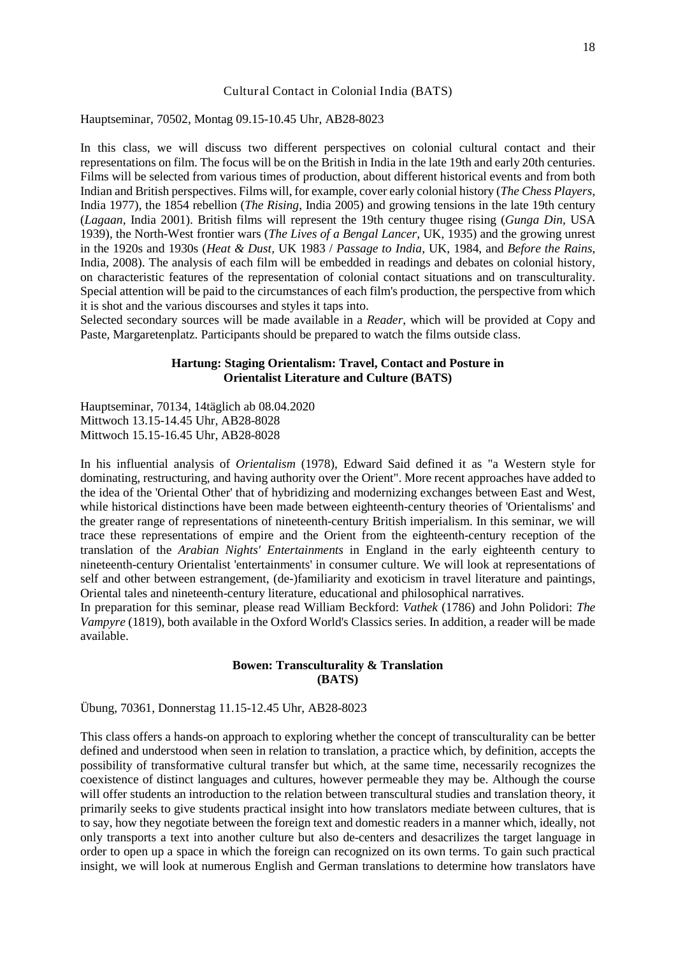#### Cultural Contact in Colonial India (BATS)

Hauptseminar, 70502, Montag 09.15-10.45 Uhr, AB28-8023

In this class, we will discuss two different perspectives on colonial cultural contact and their representations on film. The focus will be on the British in India in the late 19th and early 20th centuries. Films will be selected from various times of production, about different historical events and from both Indian and British perspectives. Films will, for example, cover early colonial history (*The Chess Players*, India 1977), the 1854 rebellion (*The Rising*, India 2005) and growing tensions in the late 19th century (*Lagaan*, India 2001). British films will represent the 19th century thugee rising (*Gunga Din,* USA 1939), the North-West frontier wars (*The Lives of a Bengal Lancer*, UK, 1935) and the growing unrest in the 1920s and 1930s (*Heat & Dust,* UK 1983 / *Passage to India*, UK, 1984, and *Before the Rains*, India, 2008). The analysis of each film will be embedded in readings and debates on colonial history, on characteristic features of the representation of colonial contact situations and on transculturality. Special attention will be paid to the circumstances of each film's production, the perspective from which it is shot and the various discourses and styles it taps into.

Selected secondary sources will be made available in a *Reader*, which will be provided at Copy and Paste, Margaretenplatz. Participants should be prepared to watch the films outside class.

### **Hartung: Staging Orientalism: Travel, Contact and Posture in Orientalist Literature and Culture (BATS)**

Hauptseminar, 70134, 14täglich ab 08.04.2020 Mittwoch 13.15-14.45 Uhr, AB28-8028 Mittwoch 15.15-16.45 Uhr, AB28-8028

In his influential analysis of *Orientalism* (1978), Edward Said defined it as "a Western style for dominating, restructuring, and having authority over the Orient". More recent approaches have added to the idea of the 'Oriental Other' that of hybridizing and modernizing exchanges between East and West, while historical distinctions have been made between eighteenth-century theories of 'Orientalisms' and the greater range of representations of nineteenth-century British imperialism. In this seminar, we will trace these representations of empire and the Orient from the eighteenth-century reception of the translation of the *Arabian Nights' Entertainments* in England in the early eighteenth century to nineteenth-century Orientalist 'entertainments' in consumer culture. We will look at representations of self and other between estrangement, (de-)familiarity and exoticism in travel literature and paintings, Oriental tales and nineteenth-century literature, educational and philosophical narratives.

In preparation for this seminar, please read William Beckford: *Vathek* (1786) and John Polidori: *The Vampyre* (1819), both available in the Oxford World's Classics series. In addition, a reader will be made available.

### **Bowen: Transculturality & Translation (BATS)**

Übung, 70361, Donnerstag 11.15-12.45 Uhr, AB28-8023

This class offers a hands-on approach to exploring whether the concept of transculturality can be better defined and understood when seen in relation to translation, a practice which, by definition, accepts the possibility of transformative cultural transfer but which, at the same time, necessarily recognizes the coexistence of distinct languages and cultures, however permeable they may be. Although the course will offer students an introduction to the relation between transcultural studies and translation theory, it primarily seeks to give students practical insight into how translators mediate between cultures, that is to say, how they negotiate between the foreign text and domestic readers in a manner which, ideally, not only transports a text into another culture but also de-centers and desacrilizes the target language in order to open up a space in which the foreign can recognized on its own terms. To gain such practical insight, we will look at numerous English and German translations to determine how translators have